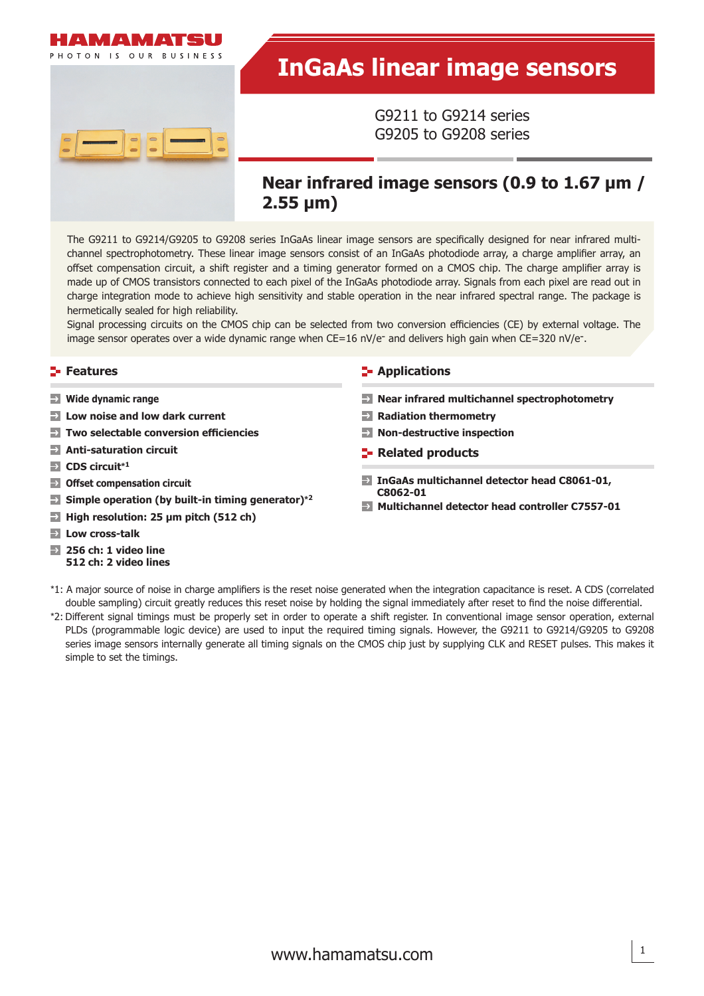



G9211 to G9214 series G9205 to G9208 series

# **Near infrared image sensors (0.9 to 1.67 μm / 2.55 μm)**

The G9211 to G9214/G9205 to G9208 series InGaAs linear image sensors are specifically designed for near infrared multichannel spectrophotometry. These linear image sensors consist of an InGaAs photodiode array, a charge amplifier array, an offset compensation circuit, a shift register and a timing generator formed on a CMOS chip. The charge amplifier array is made up of CMOS transistors connected to each pixel of the InGaAs photodiode array. Signals from each pixel are read out in charge integration mode to achieve high sensitivity and stable operation in the near infrared spectral range. The package is hermetically sealed for high reliability.

Signal processing circuits on the CMOS chip can be selected from two conversion efficiencies (CE) by external voltage. The image sensor operates over a wide dynamic range when  $CE=16$  nV/e<sup>-</sup> and delivers high gain when  $CE=320$  nV/e<sup>-</sup>.

- **Wide dynamic range**
- **Low noise and low dark current**
- **Two selectable conversion efficiencies**
- **Anti-saturation circuit**
- **CDS circuit\*<sup>1</sup>**
- **Off set compensation circuit**
- **Simple operation (by built-in timing generator)\*<sup>2</sup>**
- **High resolution: 25 μm pitch (512 ch)**
- **Low cross-talk**
- **256 ch: 1 video line 512 ch: 2 video lines**

#### **Features Applications**

- **Near infrared multichannel spectrophotometry**
- **Radiation thermometry**
- **Non-destructive inspection**
- **Related products**
- **InGaAs multichannel detector head C8061-01, C8062-01**
- **Multichannel detector head controller C7557-01**
- \*1: A major source of noise in charge amplifiers is the reset noise generated when the integration capacitance is reset. A CDS (correlated double sampling) circuit greatly reduces this reset noise by holding the signal immediately after reset to find the noise differential.
- \*2: Diff erent signal timings must be properly set in order to operate a shift register. In conventional image sensor operation, external PLDs (programmable logic device) are used to input the required timing signals. However, the G9211 to G9214/G9205 to G9208 series image sensors internally generate all timing signals on the CMOS chip just by supplying CLK and RESET pulses. This makes it simple to set the timings.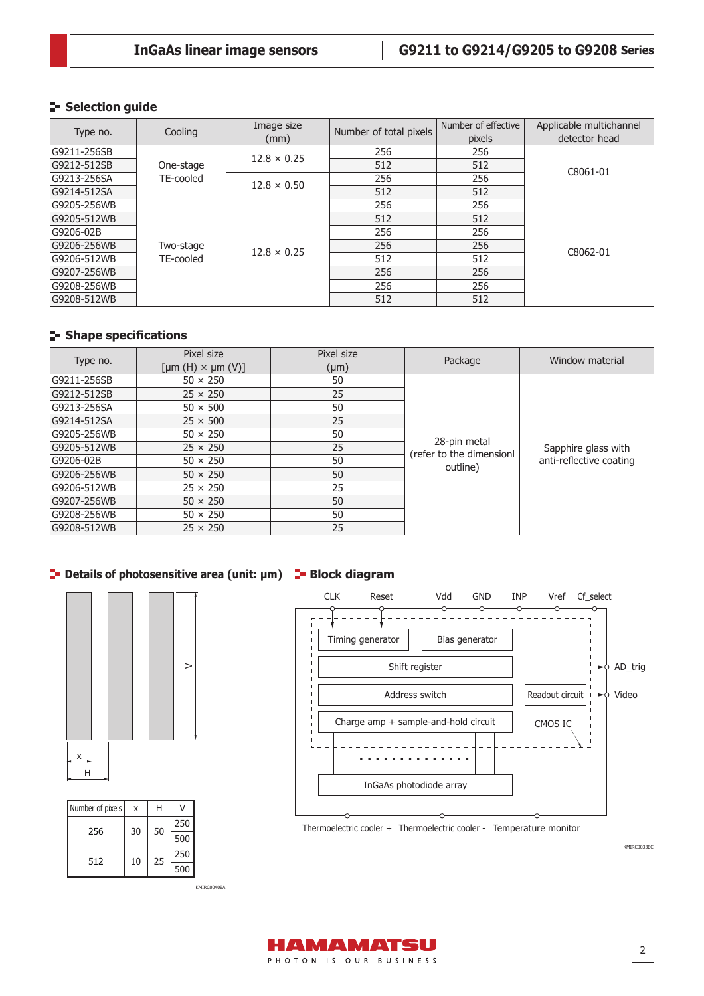## **Selection guide**

| Type no.    | Cooling   | Image size<br>(mm) | Number of total pixels | Number of effective<br>pixels | Applicable multichannel<br>detector head |
|-------------|-----------|--------------------|------------------------|-------------------------------|------------------------------------------|
| G9211-256SB |           | $12.8 \times 0.25$ | 256                    | 256                           |                                          |
| G9212-512SB | One-stage |                    | 512                    | 512                           | C8061-01                                 |
| G9213-256SA | TE-cooled | $12.8 \times 0.50$ | 256                    | 256                           |                                          |
| G9214-512SA |           |                    | 512                    | 512                           |                                          |
| G9205-256WB |           |                    | 256                    | 256                           |                                          |
| G9205-512WB |           |                    | 512                    | 512                           |                                          |
| G9206-02B   |           |                    | 256                    | 256                           |                                          |
| G9206-256WB | Two-stage | $12.8 \times 0.25$ | 256                    | 256                           | C8062-01                                 |
| G9206-512WB | TE-cooled |                    | 512                    | 512                           |                                          |
| G9207-256WB |           |                    | 256                    | 256                           |                                          |
| G9208-256WB |           |                    | 256                    | 256                           |                                          |
| G9208-512WB |           |                    | 512                    | 512                           |                                          |

## **Shape specifications**

| Type no.    | Pixel size                                  | Pixel size | Package                                  | Window material         |  |
|-------------|---------------------------------------------|------------|------------------------------------------|-------------------------|--|
|             | $[ \mu m(H) \times \mu m(V) ]$<br>$(\mu m)$ |            |                                          |                         |  |
| G9211-256SB | $50 \times 250$                             | 50         |                                          |                         |  |
| G9212-512SB | $25 \times 250$                             | 25         |                                          |                         |  |
| G9213-256SA | $50 \times 500$                             | 50         |                                          |                         |  |
| G9214-512SA | $25 \times 500$                             | 25         |                                          |                         |  |
| G9205-256WB | $50 \times 250$                             | 50         |                                          |                         |  |
| G9205-512WB | $25 \times 250$                             | 25         | 28-pin metal<br>(refer to the dimensionl | Sapphire glass with     |  |
| G9206-02B   | $50 \times 250$                             | 50         | outline)                                 | anti-reflective coating |  |
| G9206-256WB | $50 \times 250$                             | 50         |                                          |                         |  |
| G9206-512WB | $25 \times 250$                             | 25         |                                          |                         |  |
| G9207-256WB | $50 \times 250$                             | 50         |                                          |                         |  |
| G9208-256WB | $50 \times 250$                             | 50         |                                          |                         |  |
| G9208-512WB | $25 \times 250$                             | 25         |                                          |                         |  |

## **<u>E</u>** Details of photosensitive area (unit: μm) **E** Block diagram



| Number of pixels | x  | н  |     |  |
|------------------|----|----|-----|--|
| 256              | 30 | 50 | 250 |  |
|                  |    |    | 500 |  |
| 512              | 10 | 25 | 250 |  |
|                  |    |    | 500 |  |

KMIRC0040EA



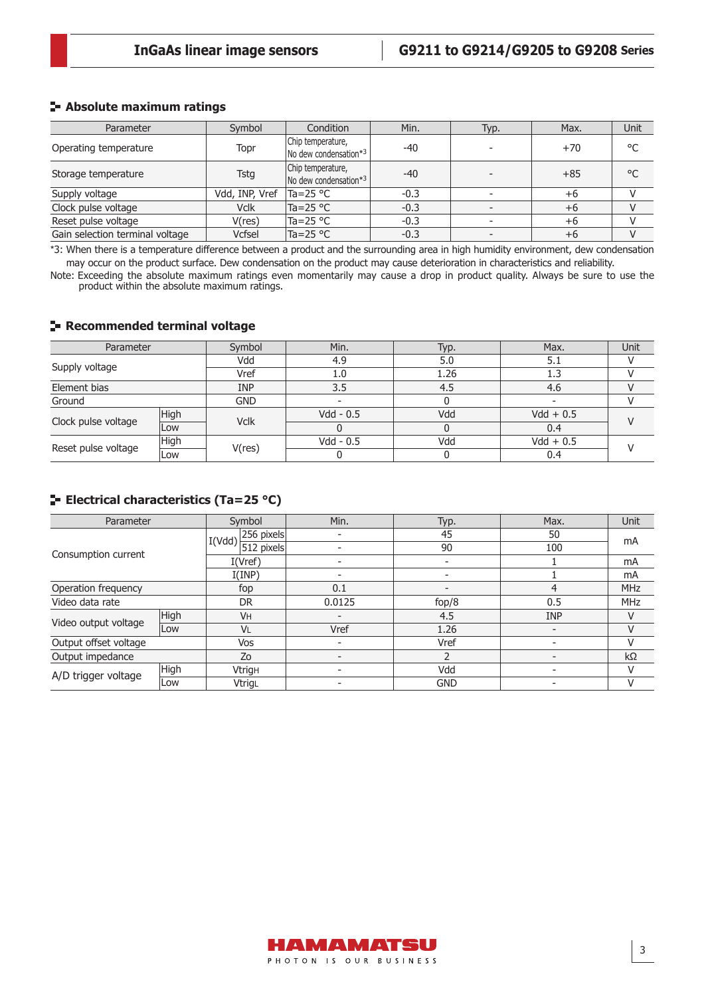### **Absolute maximum ratings**

| Parameter                       | Symbol         | Condition                                          | Min.   | Typ. | Max.  | Unit         |
|---------------------------------|----------------|----------------------------------------------------|--------|------|-------|--------------|
| Operating temperature           | Topr           | Chip temperature,<br>No dew condensation*3         | $-40$  |      | $+70$ | °C           |
| Storage temperature             | Tstg           | Chip temperature,<br>$\sqrt{N}$ dew condensation*3 | $-40$  |      | $+85$ | $^{\circ}$ C |
| Supply voltage                  | Vdd, INP, Vref | Ta=25 °C                                           | $-0.3$ |      | $+6$  |              |
| Clock pulse voltage             | <b>Vclk</b>    | $Ta = 25 °C$                                       | $-0.3$ |      | $+6$  |              |
| Reset pulse voltage             | V(res)         | lTa=25 °C                                          | $-0.3$ |      | $+6$  |              |
| Gain selection terminal voltage | Vcfsel         | Ta=25 °C                                           | $-0.3$ |      | $+6$  |              |

\*3: When there is a temperature difference between a product and the surrounding area in high humidity environment, dew condensation may occur on the product surface. Dew condensation on the product may cause deterioration in characteristics and reliability.

Note: Exceeding the absolute maximum ratings even momentarily may cause a drop in product quality. Always be sure to use the product within the absolute maximum ratings.

#### **Recommended terminal voltage**

| Parameter           |      | Symbol                   | Min.               | Typ.               | Max.        | Unit |  |
|---------------------|------|--------------------------|--------------------|--------------------|-------------|------|--|
|                     |      | Vdd                      | 4.9                | 5.0                | 5.1         |      |  |
| Supply voltage      |      | Vref                     | 1.26<br>1.3<br>1.0 |                    |             |      |  |
| Element bias        |      | <b>INP</b><br>3.5<br>4.5 |                    | 4.6                |             |      |  |
| Ground              |      | <b>GND</b>               |                    |                    |             |      |  |
| Clock pulse voltage | High | <b>Vclk</b>              | $Vdd - 0.5$        | Vdd                | $Vdd + 0.5$ |      |  |
|                     | Low  |                          |                    | $Vdd - 0.5$<br>Vdd | 0.4         |      |  |
|                     | High |                          |                    |                    | $Vdd + 0.5$ |      |  |
| Reset pulse voltage | Low  | V(res)                   |                    |                    | 0.4         |      |  |

## **ELECTRICAL CHARACTERISTICS (Ta=25 °C)**

| Parameter             |      | Symbol                                                           | Min. | Typ.       | Max.       | Unit       |
|-----------------------|------|------------------------------------------------------------------|------|------------|------------|------------|
|                       |      | 256 pixels<br>I(Vdd)                                             |      | 45         | 50         |            |
|                       |      | 512 pixels                                                       |      | 90         | 100        | mA         |
| Consumption current   |      | I(Vref)                                                          |      |            |            | mA         |
|                       |      | I(IMP)<br>0.1<br>fop<br>4<br>0.5<br><b>DR</b><br>0.0125<br>fop/8 |      | mA         |            |            |
| Operation frequency   |      |                                                                  |      |            |            | <b>MHz</b> |
| Video data rate       |      |                                                                  |      |            |            | <b>MHz</b> |
|                       | High | <b>VH</b>                                                        |      | 4.5        | <b>INP</b> |            |
| Video output voltage  | Low  | VL                                                               | Vref | 1.26       | -          |            |
| Output offset voltage |      | Vos                                                              |      | Vref       |            |            |
| Output impedance      |      | Zo                                                               |      |            |            | $k\Omega$  |
| A/D trigger voltage   | High | <b>Vtrigh</b>                                                    |      | Vdd        | -          |            |
|                       | Low  | VtrigL                                                           |      | <b>GND</b> |            |            |

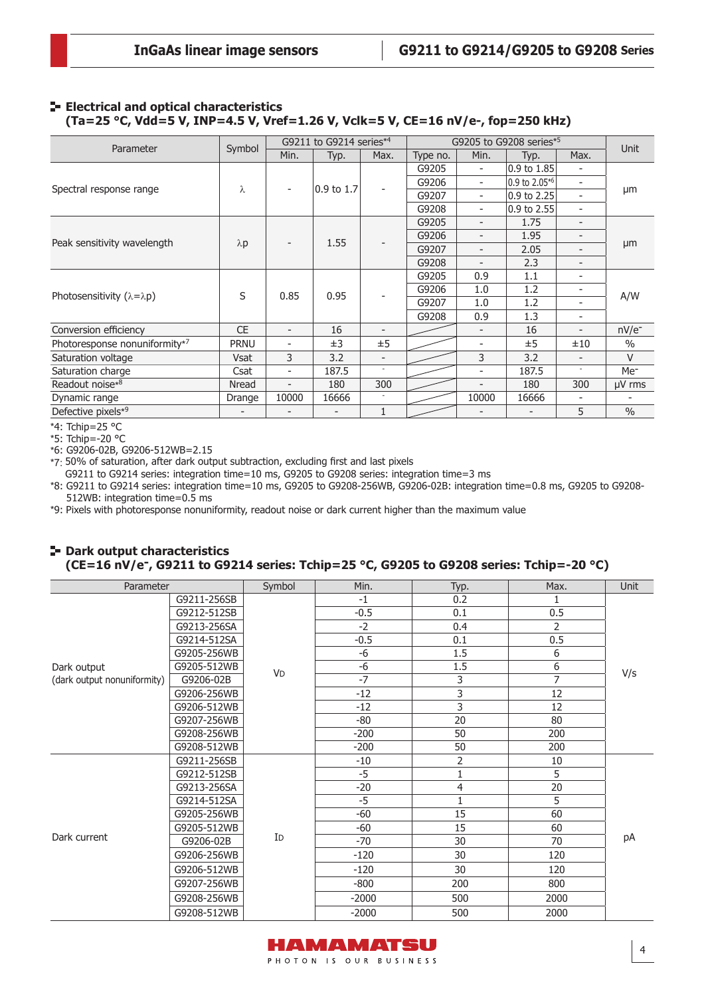#### **E- Electrical and optical characteristics (Ta=25 °C, Vdd=5 V, INP=4.5 V, Vref=1.26 V, Vclk=5 V, CE=16 nV/e-, fop=250 kHz)**

| Parameter                                |             |                          | G9211 to G9214 series <sup>*4</sup> |                          | G9205 to G9208 series*5 |                          |               |                          | Unit            |
|------------------------------------------|-------------|--------------------------|-------------------------------------|--------------------------|-------------------------|--------------------------|---------------|--------------------------|-----------------|
|                                          | Symbol      | Min.                     | Typ.                                | Max.                     | Type no.                | Min.                     | Typ.          | Max.                     |                 |
|                                          |             |                          |                                     |                          | G9205                   | $\overline{\phantom{a}}$ | 0.9 to 1.85   | ۰                        |                 |
|                                          | λ           |                          | 0.9 to 1.7                          |                          | G9206                   | ۰                        | 0.9 to 2.05*6 | ٠                        |                 |
| Spectral response range                  |             | $\overline{\phantom{a}}$ |                                     |                          | G9207                   | $\overline{\phantom{0}}$ | 0.9 to 2.25   | Ξ.                       | μm              |
|                                          |             |                          |                                     |                          | G9208                   | ۰                        | 0.9 to 2.55   | ٠                        |                 |
|                                          |             |                          |                                     |                          | G9205                   | $\overline{\phantom{0}}$ | 1.75          | -                        |                 |
|                                          |             |                          | 1.55                                |                          | G9206                   | ۰                        | 1.95          | -                        |                 |
| Peak sensitivity wavelength              | $\lambda p$ |                          |                                     |                          | G9207                   | $\overline{\phantom{0}}$ | 2.05          | Ξ.                       | µm              |
|                                          |             |                          |                                     |                          | G9208                   | $\overline{\phantom{a}}$ | 2.3           | -                        |                 |
|                                          | S           | 0.85                     | 0.95                                |                          | G9205                   | 0.9                      | 1.1           | -                        |                 |
|                                          |             |                          |                                     |                          | G9206                   | 1.0                      | 1.2           | -                        | A/W             |
| Photosensitivity $(\lambda = \lambda p)$ |             |                          |                                     |                          | G9207                   | 1.0                      | 1.2           | -                        |                 |
|                                          |             |                          |                                     |                          | G9208                   | 0.9                      | 1.3           | -                        |                 |
| Conversion efficiency                    | <b>CE</b>   | $\overline{\phantom{a}}$ | 16                                  | $\overline{\phantom{a}}$ |                         | $\overline{\phantom{0}}$ | 16            | $\overline{\phantom{0}}$ | $nV/e^-$        |
| Photoresponse nonuniformity*7            | <b>PRNU</b> | $\overline{\phantom{0}}$ | ±3                                  | ±5                       |                         |                          | ±5            | ±10                      | $\frac{0}{0}$   |
| Saturation voltage                       | Vsat        | 3                        | 3.2                                 | $\overline{\phantom{a}}$ |                         | 3                        | 3.2           | $\overline{\phantom{0}}$ | $\vee$          |
| Saturation charge                        | Csat        | $\overline{\phantom{a}}$ | 187.5                               | ٠                        |                         | $\overline{a}$           | 187.5         | $\overline{\phantom{a}}$ | Me <sup>-</sup> |
| Readout noise*8                          | Nread       | $\overline{\phantom{a}}$ | 180                                 | 300                      |                         |                          | 180           | 300                      | $\mu$ V rms     |
| Dynamic range                            | Drange      | 10000                    | 16666                               |                          |                         | 10000                    | 16666         |                          |                 |
| Defective pixels*9                       |             | ۰                        |                                     | 1                        |                         |                          |               | 5                        | $\frac{0}{0}$   |

\*4: Tchip=25 °C

\*5: Tchip=-20 °C

\*6: G9206-02B, G9206-512WB=2.15

\*7: 50% of saturation, after dark output subtraction, excluding first and last pixels

G9211 to G9214 series: integration time=10 ms, G9205 to G9208 series: integration time=3 ms

\*8: G9211 to G9214 series: integration time=10 ms, G9205 to G9208-256WB, G9206-02B: integration time=0.8 ms, G9205 to G9208- 512WB: integration time=0.5 ms

\*9: Pixels with photoresponse nonuniformity, readout noise or dark current higher than the maximum value

#### **P**-Dark output characteristics **(CE=16 nV/e-, G9211 to G9214 series: Tchip=25 °C, G9205 to G9208 series: Tchip=-20 °C)**

| Parameter                                  |                                           | Symbol                                                                                                                                                                                               | Min.   | Typ. | Max.           | Unit |  |
|--------------------------------------------|-------------------------------------------|------------------------------------------------------------------------------------------------------------------------------------------------------------------------------------------------------|--------|------|----------------|------|--|
|                                            | G9211-256SB                               |                                                                                                                                                                                                      | $-1$   | 0.2  | 1              |      |  |
|                                            | G9212-512SB                               |                                                                                                                                                                                                      | $-0.5$ | 0.1  | 0.5            |      |  |
|                                            | G9213-256SA                               |                                                                                                                                                                                                      | $-2$   | 0.4  | $\overline{2}$ |      |  |
|                                            | G9214-512SA                               |                                                                                                                                                                                                      | $-0.5$ | 0.1  | 0.5            |      |  |
|                                            | G9205-256WB                               |                                                                                                                                                                                                      | $-6$   | 1.5  | 6              |      |  |
| Dark output<br>(dark output nonuniformity) | G9205-512WB                               |                                                                                                                                                                                                      | $-6$   | 1.5  | 6              | V/S  |  |
|                                            | G9206-02B                                 |                                                                                                                                                                                                      |        | 3    | 7              |      |  |
|                                            | G9206-256WB                               |                                                                                                                                                                                                      | $-12$  | 3    | 12             |      |  |
|                                            | G9206-512WB                               |                                                                                                                                                                                                      | $-12$  |      | 12             |      |  |
|                                            | G9207-256WB                               |                                                                                                                                                                                                      | $-80$  | 20   | 80             |      |  |
|                                            | G9208-256WB                               |                                                                                                                                                                                                      | $-200$ | 50   | 200            |      |  |
|                                            | G9208-512WB                               |                                                                                                                                                                                                      | $-200$ | 50   | 200            |      |  |
|                                            | G9211-256SB                               |                                                                                                                                                                                                      | $-10$  | 2    | 10             |      |  |
|                                            | G9212-512SB                               |                                                                                                                                                                                                      | $-5$   | 1    | 5              |      |  |
|                                            | G9213-256SA                               | <b>VD</b><br>$-7$<br>3<br>$-20$<br>4<br>$-5$<br>$\mathbf{1}$<br>15<br>$-60$<br>15<br>$-60$<br>ID<br>$-70$<br>30<br>30<br>$-120$<br>30<br>$-120$<br>$-800$<br>200<br>$-2000$<br>500<br>500<br>$-2000$ | 20     |      |                |      |  |
|                                            | G9214-512SA<br>G9205-256WB<br>G9205-512WB | 5                                                                                                                                                                                                    |        |      |                |      |  |
|                                            |                                           |                                                                                                                                                                                                      |        |      | 60             |      |  |
|                                            |                                           |                                                                                                                                                                                                      |        |      | 60             |      |  |
| Dark current                               | G9206-02B                                 |                                                                                                                                                                                                      |        |      | 70             | pA   |  |
|                                            | G9206-256WB                               |                                                                                                                                                                                                      |        |      | 120            |      |  |
|                                            | G9206-512WB                               |                                                                                                                                                                                                      |        |      | 120            |      |  |
|                                            | G9207-256WB                               |                                                                                                                                                                                                      |        |      | 800            |      |  |
|                                            | G9208-256WB                               |                                                                                                                                                                                                      |        |      | 2000           |      |  |
|                                            | G9208-512WB                               |                                                                                                                                                                                                      |        |      | 2000           |      |  |

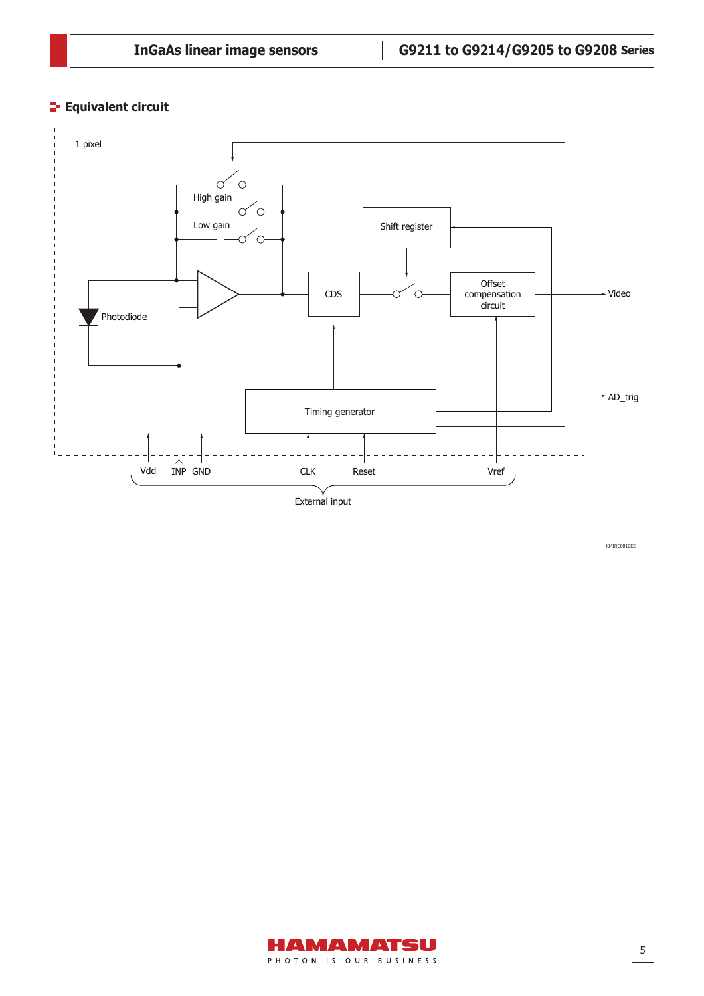## **Equivalent circuit**



KMIRC0010EE

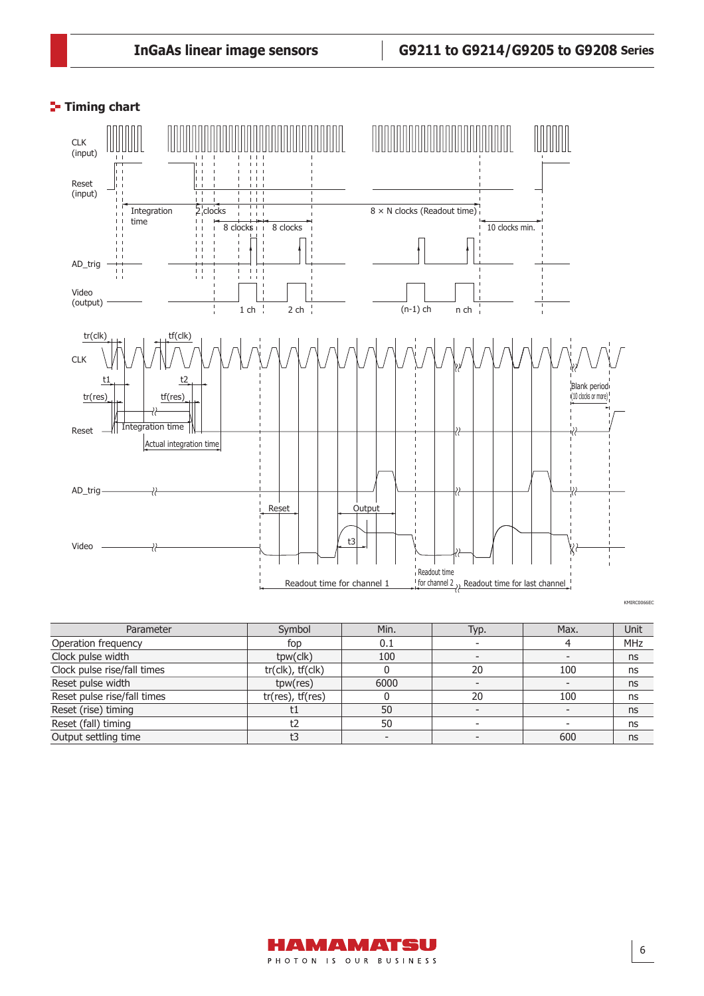## **Timing chart**



| Parameter                   | Symbol                        | Min. | Typ. | Max. | Unit       |
|-----------------------------|-------------------------------|------|------|------|------------|
| Operation frequency         | fop                           | 0.1  |      |      | <b>MHz</b> |
| Clock pulse width           | tpw(clk)                      | 100  |      |      | ns         |
| Clock pulse rise/fall times | $tr($ clk $)$ , $tr($ clk $)$ |      | 20   | 100  | ns         |
| Reset pulse width           | tpw(res)                      | 6000 |      |      | ns         |
| Reset pulse rise/fall times | $tr(res)$ , $tf(res)$         |      | 20   | 100  | ns         |
| Reset (rise) timing         | t1                            | 50   |      |      | ns         |
| Reset (fall) timing         | t2                            | 50   |      |      | ns         |
| Output settling time        | t3                            |      |      | 600  | ns         |

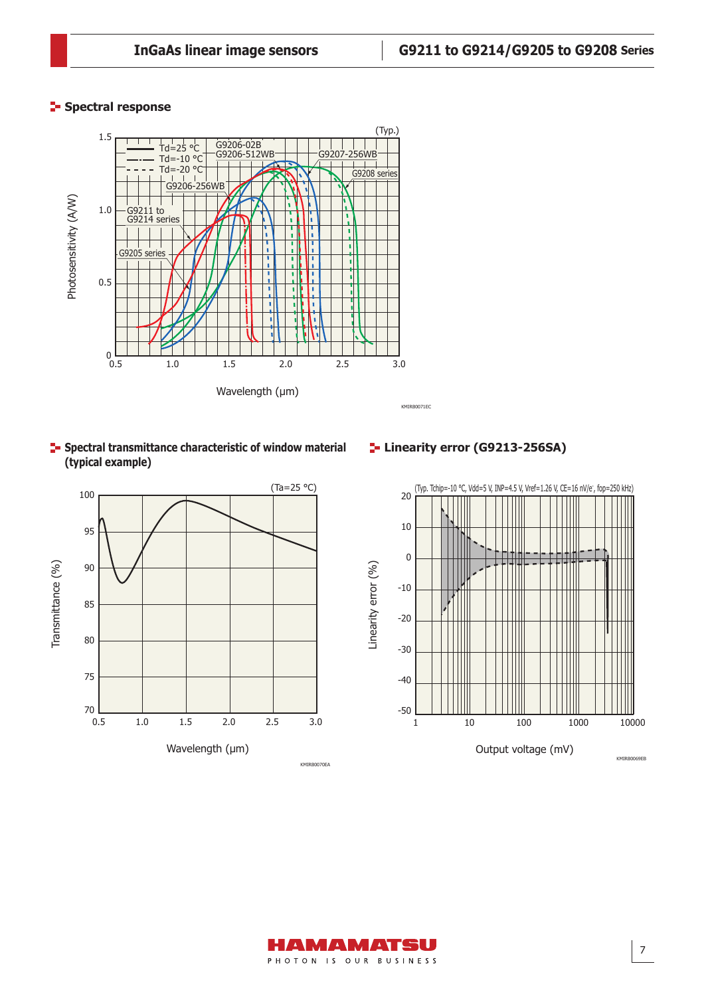## **Spectral response**



**F** Spectral transmittance characteristic of window material **(typical example)**



## **Linearity error (G9213-256SA)**



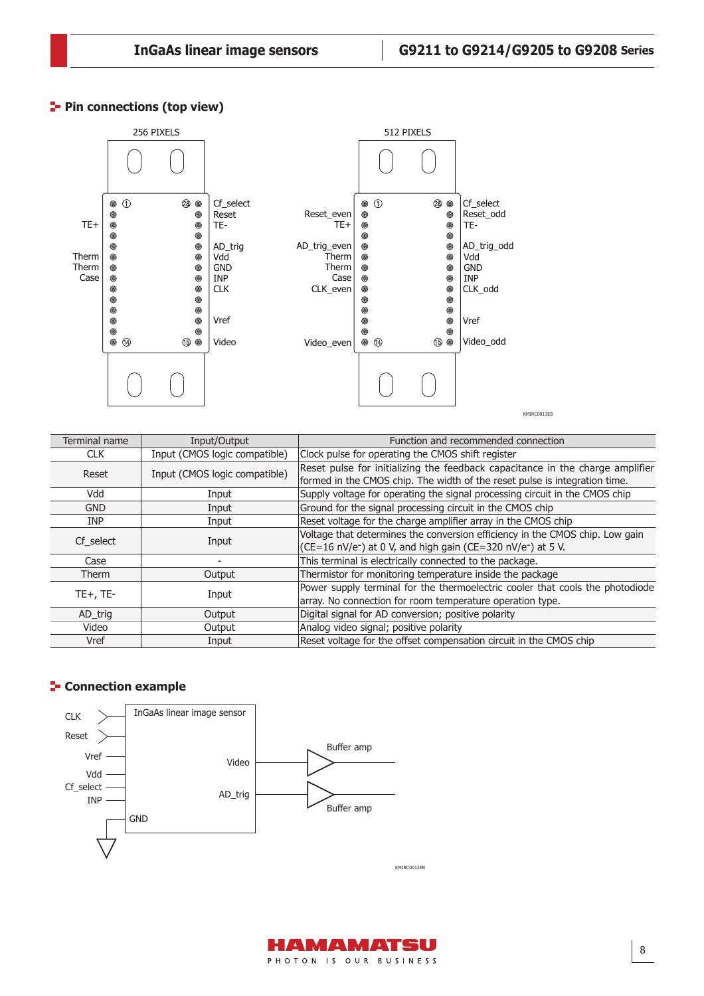## **Pin connections (top view)**



| Terminal name | Input/Output                  | Function and recommended connection                                                  |  |  |  |
|---------------|-------------------------------|--------------------------------------------------------------------------------------|--|--|--|
| <b>CLK</b>    | Input (CMOS logic compatible) | Clock pulse for operating the CMOS shift register                                    |  |  |  |
| Reset         | Input (CMOS logic compatible) | Reset pulse for initializing the feedback capacitance in the charge amplifier        |  |  |  |
|               |                               | formed in the CMOS chip. The width of the reset pulse is integration time.           |  |  |  |
| Vdd           | Input                         | Supply voltage for operating the signal processing circuit in the CMOS chip          |  |  |  |
| <b>GND</b>    | Input                         | Ground for the signal processing circuit in the CMOS chip                            |  |  |  |
| <b>INP</b>    | Input                         | Reset voltage for the charge amplifier array in the CMOS chip                        |  |  |  |
|               |                               | Voltage that determines the conversion efficiency in the CMOS chip. Low gain         |  |  |  |
| Cf select     | Input                         | $(CE=16 \text{ nV/e}^{-})$ at 0 V, and high gain (CE=320 nV/e <sup>-</sup> ) at 5 V. |  |  |  |
| Case          |                               | This terminal is electrically connected to the package.                              |  |  |  |
| <b>Therm</b>  | Output                        | Thermistor for monitoring temperature inside the package                             |  |  |  |
| $TE+$ , $TE-$ |                               | Power supply terminal for the thermoelectric cooler that cools the photodiode        |  |  |  |
|               | Input                         | array. No connection for room temperature operation type.                            |  |  |  |
| AD trig       | Output                        | Digital signal for AD conversion; positive polarity                                  |  |  |  |
| Video         | Output                        | Analog video signal; positive polarity                                               |  |  |  |
| Vref          | Input                         | Reset voltage for the offset compensation circuit in the CMOS chip                   |  |  |  |

## **E-** Connection example



HAMAMATSU PHOTON IS OUR BUSINESS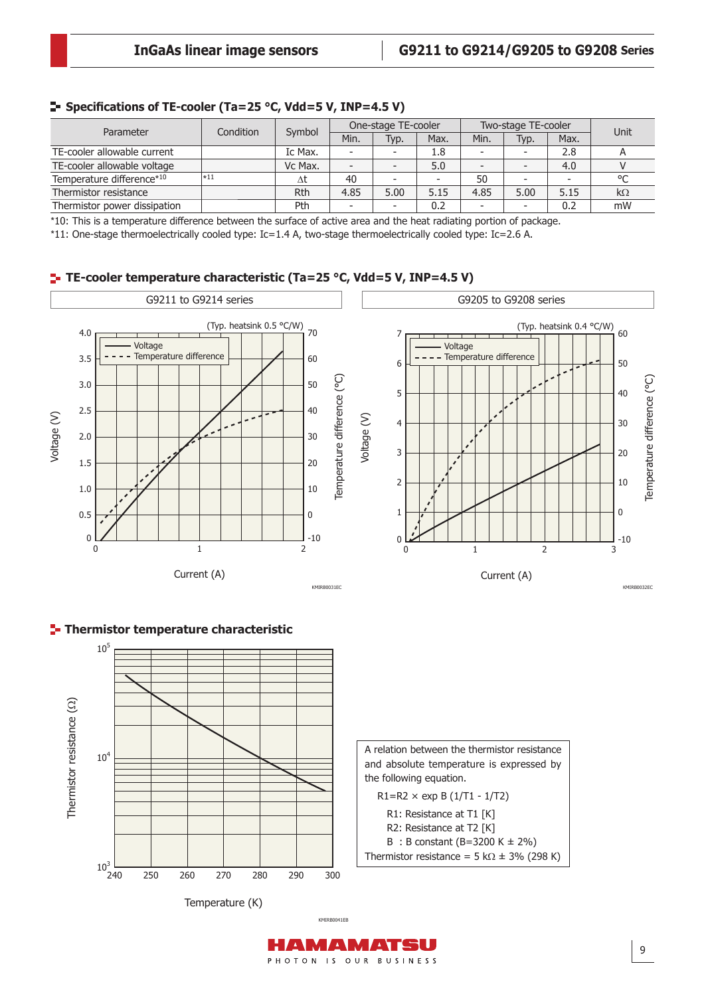#### **E** Specifications of TE-cooler (Ta=25 °C, Vdd=5 V, INP=4.5 V)

| Parameter                    | Condition | Symbol  | One-stage TE-cooler      |                          |      | Two-stage TE-cooler      |      |      | Unit      |
|------------------------------|-----------|---------|--------------------------|--------------------------|------|--------------------------|------|------|-----------|
|                              |           |         | Min.                     | Typ.                     | Max. | Min.                     | Typ. | Max. |           |
| TE-cooler allowable current  |           | Ic Max. | $\overline{\phantom{0}}$ | $\overline{\phantom{a}}$ | 1.8  | $\overline{\phantom{0}}$ |      | 2.8  |           |
| TE-cooler allowable voltage  |           | Vc Max. | -                        |                          | 5.0  | $\overline{\phantom{a}}$ |      | 4.0  |           |
| Temperature difference*10    | $\ast$ 11 | Δt      | 40                       | $\overline{\phantom{a}}$ |      | 50                       |      |      | $\circ$   |
| Thermistor resistance        |           | Rth     | 4.85                     | 5.00                     | 5.15 | 4.85                     | 5.00 | 5.15 | $k\Omega$ |
| Thermistor power dissipation |           | Pth     | -                        | $\overline{\phantom{a}}$ | 0.2  | -                        |      | 0.2  | mW        |

\*10: This is a temperature difference between the surface of active area and the heat radiating portion of package.

\*11: One-stage thermoelectrically cooled type: Ic=1.4 A, two-stage thermoelectrically cooled type: Ic=2.6 A.

## **TE-cooler temperature characteristic (Ta=25 °C, Vdd=5 V, INP=4.5 V)**





**Thermistor temperature characteristic**

KMIRB0041EB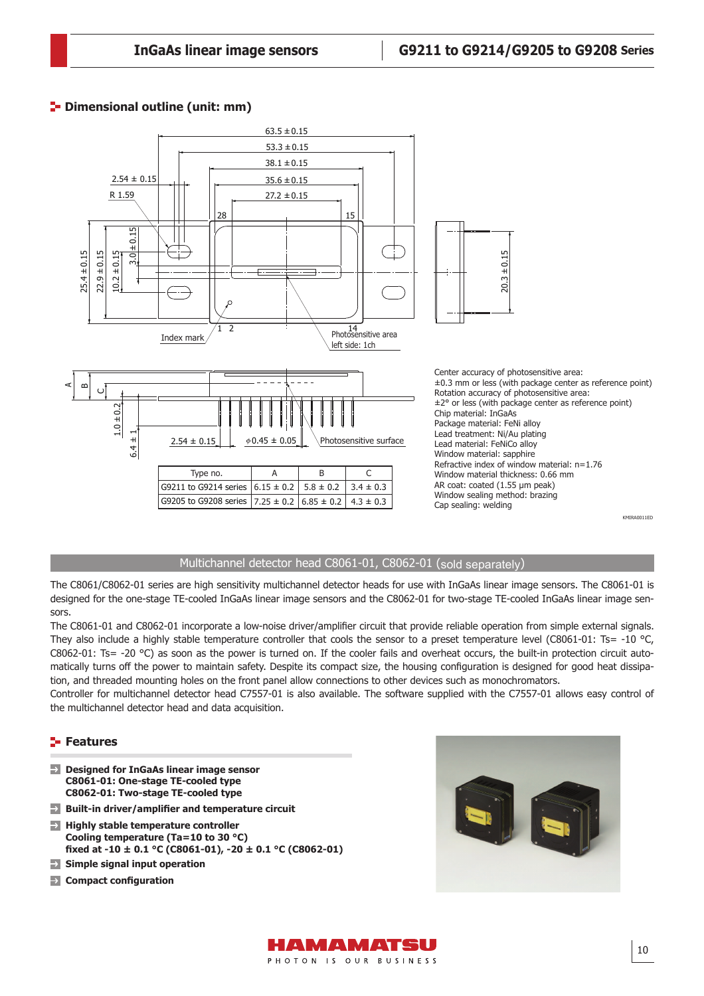## **P**- Dimensional outline (unit: mm)



## Multichannel detector head C8061-01, C8062-01 (sold separately)

The C8061/C8062-01 series are high sensitivity multichannel detector heads for use with InGaAs linear image sensors. The C8061-01 is designed for the one-stage TE-cooled InGaAs linear image sensors and the C8062-01 for two-stage TE-cooled InGaAs linear image sensors.

The C8061-01 and C8062-01 incorporate a low-noise driver/amplifier circuit that provide reliable operation from simple external signals. They also include a highly stable temperature controller that cools the sensor to a preset temperature level (C8061-01: Ts= -10 °C, C8062-01: Ts= -20  $^{\circ}$ C) as soon as the power is turned on. If the cooler fails and overheat occurs, the built-in protection circuit automatically turns off the power to maintain safety. Despite its compact size, the housing configuration is designed for good heat dissipation, and threaded mounting holes on the front panel allow connections to other devices such as monochromators.

Controller for multichannel detector head C7557-01 is also available. The software supplied with the C7557-01 allows easy control of the multichannel detector head and data acquisition.

#### **Features**

- $\rightarrow$ **Designed for InGaAs linear image sensor C8061-01: One-stage TE-cooled type C8062-01: Two-stage TE-cooled type**
- **Built-in driver/amplifier and temperature circuit**
- **Highly stable temperature controller Cooling temperature (Ta=10 to 30 °C) fi xed at -10 ± 0.1 °C (C8061-01), -20 ± 0.1 °C (C8062-01)**
- $\rightarrow$ **Simple signal input operation**
- **EX** Compact configuration